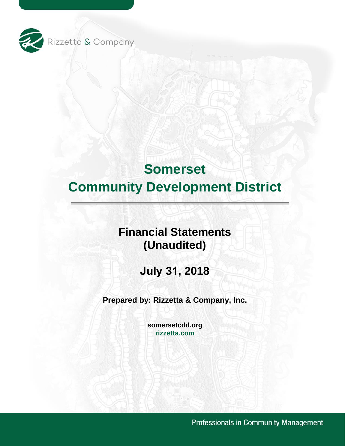

# **Financial Statements (Unaudited)**

**July 31, 2018** 

**Prepared by: Rizzetta & Company, Inc.** 

**[somersetcdd.org](https://somersetcdd.org) [rizzetta.com](https://rizzetta.com)** 

Professionals in Community Management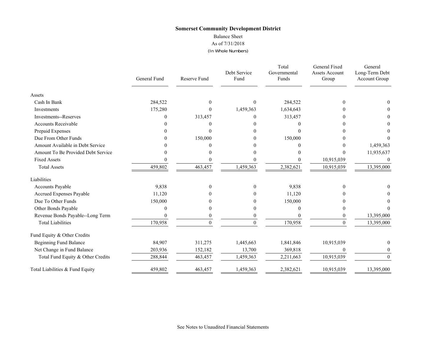#### Balance Sheet

As of 7/31/2018

(In Whole Numbers)

|                                    | General Fund | Reserve Fund | Debt Service<br>Fund | Total<br>Governmental<br>Funds | General Fixed<br><b>Assets Account</b><br>Group | General<br>Long-Term Debt<br>Account Group |
|------------------------------------|--------------|--------------|----------------------|--------------------------------|-------------------------------------------------|--------------------------------------------|
| Assets                             |              |              |                      |                                |                                                 |                                            |
| Cash In Bank                       | 284,522      | $\Omega$     | $\theta$             | 284,522                        | $\Omega$                                        | 0                                          |
| Investments                        | 175,280      | $\theta$     | 1,459,363            | 1,634,643                      |                                                 |                                            |
| <b>Investments--Reserves</b>       | 0            | 313,457      | $\boldsymbol{0}$     | 313,457                        |                                                 | 0                                          |
| <b>Accounts Receivable</b>         |              |              | 0                    |                                |                                                 | 0                                          |
| Prepaid Expenses                   |              | $\Omega$     | 0                    | 0                              |                                                 |                                            |
| Due From Other Funds               |              | 150,000      | $\theta$             | 150,000                        |                                                 |                                            |
| Amount Available in Debt Service   |              | 0            |                      | 0                              |                                                 | 1,459,363                                  |
| Amount To Be Provided Debt Service |              |              | 0                    |                                | $\Omega$                                        | 11,935,637                                 |
| <b>Fixed Assets</b>                |              |              | 0                    |                                | 10,915,039                                      | $\theta$                                   |
| <b>Total Assets</b>                | 459,802      | 463,457      | 1,459,363            | 2,382,621                      | 10,915,039                                      | 13,395,000                                 |
| Liabilities                        |              |              |                      |                                |                                                 |                                            |
| Accounts Payable                   | 9,838        | $\theta$     | $\theta$             | 9,838                          | $\Omega$                                        |                                            |
| Accrued Expenses Payable           | 11,120       |              | $\Omega$             | 11,120                         |                                                 |                                            |
| Due To Other Funds                 | 150,000      |              | $\Omega$             | 150,000                        |                                                 |                                            |
| Other Bonds Payable                | 0            | $\theta$     | $\boldsymbol{0}$     | 0                              |                                                 |                                            |
| Revenue Bonds Payable--Long Term   |              |              | $\boldsymbol{0}$     |                                | $\bf{0}$                                        | 13,395,000                                 |
| <b>Total Liabilities</b>           | 170,958      | $\Omega$     | $\theta$             | 170,958                        | $\Omega$                                        | 13,395,000                                 |
| Fund Equity & Other Credits        |              |              |                      |                                |                                                 |                                            |
| <b>Beginning Fund Balance</b>      | 84,907       | 311,275      | 1,445,663            | 1,841,846                      | 10,915,039                                      | $\mathbf{0}$                               |
| Net Change in Fund Balance         | 203,936      | 152,182      | 13,700               | 369,818                        | $\Omega$                                        | $\theta$                                   |
| Total Fund Equity & Other Credits  | 288,844      | 463,457      | 1,459,363            | 2,211,663                      | 10,915,039                                      | $\Omega$                                   |
| Total Liabilities & Fund Equity    | 459,802      | 463,457      | 1,459,363            | 2,382,621                      | 10,915,039                                      | 13,395,000                                 |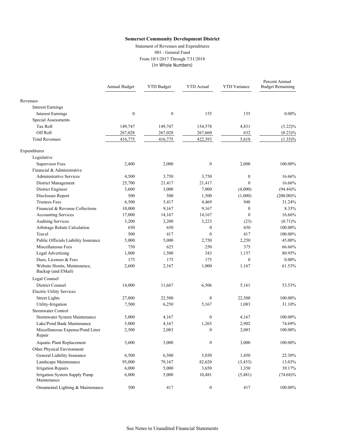Statement of Revenues and Expenditures 001 - General Fund From 10/1/2017 Through 7/31/2018 (In Whole Numbers)

|                                                    | Annual Budget    | <b>YTD Budget</b> | <b>YTD</b> Actual | <b>YTD</b> Variance | Percent Annual<br><b>Budget Remaining</b> |
|----------------------------------------------------|------------------|-------------------|-------------------|---------------------|-------------------------------------------|
| Revenues                                           |                  |                   |                   |                     |                                           |
| <b>Interest Earnings</b>                           |                  |                   |                   |                     |                                           |
| <b>Interest Earnings</b>                           | $\boldsymbol{0}$ | $\boldsymbol{0}$  | 155               | 155                 | $0.00\%$                                  |
| Special Assessments                                |                  |                   |                   |                     |                                           |
| Tax Roll                                           | 149,747          | 149,747           | 154,578           | 4,831               | $(3.22)\%$                                |
| Off Roll                                           | 267,028          | 267,028           | 267,660           | 632                 | $(0.23)\%$                                |
| <b>Total Revenues</b>                              | 416,775          | 416,775           | 422,393           | 5,618               | $(1.35)\%$                                |
| Expenditures                                       |                  |                   |                   |                     |                                           |
| Legislative                                        |                  |                   |                   |                     |                                           |
| Supervisor Fees                                    | 2,400            | 2,000             | $\boldsymbol{0}$  | 2,000               | 100.00%                                   |
| Financial & Administrative                         |                  |                   |                   |                     |                                           |
| <b>Administrative Services</b>                     | 4,500            | 3,750             | 3,750             | $\mathbf{0}$        | 16.66%                                    |
| District Management                                | 25,700           | 21,417            | 21,417            | $\theta$            | 16.66%                                    |
| District Engineer                                  | 3,600            | 3,000             | 7,000             | (4,000)             | $(94.44)\%$                               |
| Disclosure Report                                  | 500              | 500               | 1,500             | (1,000)             | $(200.00)\%$                              |
| <b>Trustees Fees</b>                               | 6,500            | 5,417             | 4,469             | 948                 | 31.24%                                    |
| Financial & Revenue Collections                    | 10,000           | 9,167             | 9,167             | $\mathbf{0}$        | 8.33%                                     |
| Accounting Services                                | 17,000           | 14,167            | 14,167            | $\mathbf{0}$        | 16.66%                                    |
| <b>Auditing Services</b>                           | 3,200            | 3,200             | 3,223             | (23)                | (0.71)%                                   |
| Arbitrage Rebate Calculation                       | 650              | 650               | $\boldsymbol{0}$  | 650                 | 100.00%                                   |
| Travel                                             | 500              | 417               | $\mathbf{0}$      | 417                 | 100.00%                                   |
| Public Officials Liability Insurance               | 5,000            | 5,000             | 2,750             | 2,250               | 45.00%                                    |
| Miscellaneous Fees                                 | 750              | 625               | 250               | 375                 | 66.66%                                    |
| Legal Advertising                                  | 1,800            | 1,500             | 343               | 1,157               | 80.95%                                    |
| Dues, Licenses & Fees                              | 175              | 175               | 175               | $\theta$            | $0.00\%$                                  |
| Website Hostin, Maintenence,<br>Backup (and EMail) | 2,600            | 2,167             | 1,000             | 1,167               | 61.53%                                    |
| Legal Counsel                                      |                  |                   |                   |                     |                                           |
| <b>District Counsel</b>                            | 14,000           | 11,667            | 6,506             | 5,161               | 53.53%                                    |
| <b>Electric Utility Services</b>                   |                  |                   |                   |                     |                                           |
| <b>Street Lights</b>                               | 27,000           | 22,500            | $\boldsymbol{0}$  | 22,500              | 100.00%                                   |
| Utility-Irrigation                                 | 7,500            | 6,250             | 5,167             | 1,083               | 31.10%                                    |
| Stormwater Control                                 |                  |                   |                   |                     |                                           |
| Stormwater System Maintenance                      | 5,000            | 4,167             | $\boldsymbol{0}$  | 4,167               | 100.00%                                   |
| Lake/Pond Bank Maintenance                         | 5,000            | 4,167             | 1,265             | 2,902               | 74.69%                                    |
| Miscellaneous Expense/Pond Liner<br>Repair         | 2,500            | 2,083             | $\mathbf{0}$      | 2,083               | 100.00%                                   |
| <b>Aquatic Plant Replacement</b>                   | 3,600            | 3,000             | $\boldsymbol{0}$  | 3,000               | 100.00%                                   |
| Other Physical Environment                         |                  |                   |                   |                     |                                           |
| General Liability Insurance                        | 6,500            | 6,500             | 5,050             | 1,450               | 22.30%                                    |
| Landscape Maintenance                              | 95,000           | 79,167            | 82,620            | (3, 453)            | 13.03%                                    |
| <b>Irrigation Repairs</b>                          | 6,000            | 5,000             | 3,650             | 1,350               | 39.17%                                    |
| Irrigation System Supply Pump<br>Maintenance       | 6,000            | 5,000             | 10,481            | (5,481)             | $(74.68)\%$                               |
| Ornamental Lighting & Maintenance                  | 500              | 417               | $\boldsymbol{0}$  | 417                 | 100.00%                                   |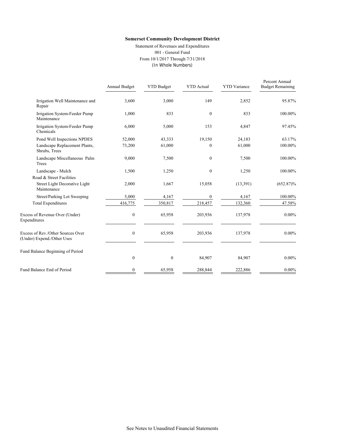Statement of Revenues and Expenditures 001 - General Fund From 10/1/2017 Through 7/31/2018 (In Whole Numbers)

|                                                                 | Annual Budget    | <b>YTD Budget</b> | <b>YTD</b> Actual | <b>YTD</b> Variance | Percent Annual<br><b>Budget Remaining</b> |
|-----------------------------------------------------------------|------------------|-------------------|-------------------|---------------------|-------------------------------------------|
| Irrigation Well Maintenance and<br>Repair                       | 3,600            | 3,000             | 149               | 2,852               | 95.87%                                    |
| Irrigation System-Feeder Pump<br>Maintenance                    | 1,000            | 833               | $\mathbf{0}$      | 833                 | 100.00%                                   |
| Irrigation System-Feeder Pump<br>Chemicals                      | 6,000            | 5,000             | 153               | 4,847               | 97.45%                                    |
| Pond Well Inspections NPDES                                     | 52,000           | 43,333            | 19,150            | 24,183              | 63.17%                                    |
| Landscape Replacement Plants,<br>Shrubs, Trees                  | 73,200           | 61,000            | $\theta$          | 61,000              | 100.00%                                   |
| Landscape Miscellaneous Palm<br>Trees                           | 9,000            | 7,500             | $\mathbf{0}$      | 7,500               | 100.00%                                   |
| Landscape - Mulch                                               | 1,500            | 1,250             | $\mathbf{0}$      | 1,250               | 100.00%                                   |
| Road & Street Facilities                                        |                  |                   |                   |                     |                                           |
| Street Light Decorative Light<br>Maintenance                    | 2,000            | 1,667             | 15,058            | (13, 391)           | $(652.87)\%$                              |
| Street/Parking Lot Sweeping                                     | 5,000            | 4,167             | $\boldsymbol{0}$  | 4,167               | 100.00%                                   |
| <b>Total Expenditures</b>                                       | 416,775          | 350,817           | 218,457           | 132,360             | 47.58%                                    |
| Excess of Revenue Over (Under)<br>Expenditures                  | $\boldsymbol{0}$ | 65,958            | 203,936           | 137,978             | $0.00\%$                                  |
| Excess of Rev./Other Sources Over<br>(Under) Expend./Other Uses | $\boldsymbol{0}$ | 65,958            | 203,936           | 137,978             | $0.00\%$                                  |
| Fund Balance Beginning of Period                                |                  |                   |                   |                     |                                           |
|                                                                 | $\mathbf{0}$     | $\boldsymbol{0}$  | 84,907            | 84,907              | $0.00\%$                                  |
| Fund Balance End of Period                                      | $\boldsymbol{0}$ | 65,958            | 288,844           | 222,886             | $0.00\%$                                  |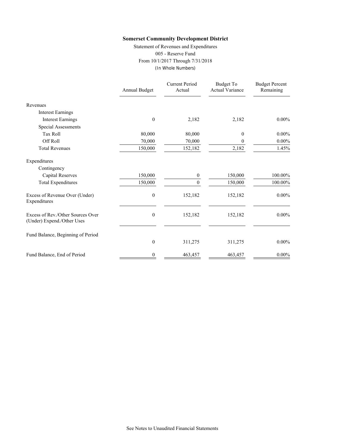Statement of Revenues and Expenditures 005 - Reserve Fund From 10/1/2017 Through 7/31/2018 (In Whole Numbers)

|                                                                 | Annual Budget    | <b>Current Period</b><br>Actual | Budget To<br><b>Actual Variance</b> | <b>Budget Percent</b><br>Remaining |
|-----------------------------------------------------------------|------------------|---------------------------------|-------------------------------------|------------------------------------|
| Revenues                                                        |                  |                                 |                                     |                                    |
| <b>Interest Earnings</b>                                        |                  |                                 |                                     |                                    |
| <b>Interest Earnings</b>                                        | $\theta$         | 2,182                           | 2,182                               | $0.00\%$                           |
| <b>Special Assessments</b>                                      |                  |                                 |                                     |                                    |
| <b>Tax Roll</b>                                                 | 80,000           | 80,000                          | $\boldsymbol{0}$                    | $0.00\%$                           |
| Off Roll                                                        | 70,000           | 70,000                          | $\boldsymbol{0}$                    | $0.00\%$                           |
| <b>Total Revenues</b>                                           | 150,000          | 152,182                         | 2,182                               | 1.45%                              |
| Expenditures                                                    |                  |                                 |                                     |                                    |
| Contingency                                                     |                  |                                 |                                     |                                    |
| <b>Capital Reserves</b>                                         | 150,000          | 0                               | 150,000                             | 100.00%                            |
| <b>Total Expenditures</b>                                       | 150,000          | $\Omega$                        | 150,000                             | 100.00%                            |
| Excess of Revenue Over (Under)<br>Expenditures                  | $\boldsymbol{0}$ | 152,182                         | 152,182                             | $0.00\%$                           |
| Excess of Rev./Other Sources Over<br>(Under) Expend./Other Uses | $\boldsymbol{0}$ | 152,182                         | 152,182                             | $0.00\%$                           |
| Fund Balance, Beginning of Period                               |                  |                                 |                                     |                                    |
|                                                                 | $\boldsymbol{0}$ | 311,275                         | 311,275                             | $0.00\%$                           |
| Fund Balance, End of Period                                     | 0                | 463,457                         | 463,457                             | $0.00\%$                           |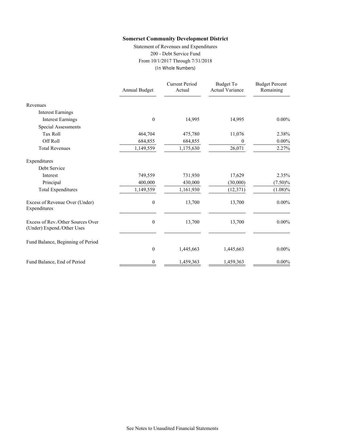Statement of Revenues and Expenditures 200 - Debt Service Fund From 10/1/2017 Through 7/31/2018 (In Whole Numbers)

|                                                                 | Annual Budget    | <b>Current Period</b><br>Actual | Budget To<br><b>Actual Variance</b> | <b>Budget Percent</b><br>Remaining |
|-----------------------------------------------------------------|------------------|---------------------------------|-------------------------------------|------------------------------------|
| Revenues                                                        |                  |                                 |                                     |                                    |
| <b>Interest Earnings</b>                                        |                  |                                 |                                     |                                    |
| <b>Interest Earnings</b>                                        | $\boldsymbol{0}$ | 14,995                          | 14,995                              | $0.00\%$                           |
| Special Assessments                                             |                  |                                 |                                     |                                    |
| <b>Tax Roll</b>                                                 | 464,704          | 475,780                         | 11,076                              | 2.38%                              |
| Off Roll                                                        | 684,855          | 684,855                         | 0                                   | $0.00\%$                           |
| <b>Total Revenues</b>                                           | 1,149,559        | 1,175,630                       | 26,071                              | 2.27%                              |
| Expenditures                                                    |                  |                                 |                                     |                                    |
| Debt Service                                                    |                  |                                 |                                     |                                    |
| Interest                                                        | 749,559          | 731,930                         | 17,629                              | 2.35%                              |
| Principal                                                       | 400,000          | 430,000                         | (30,000)                            | $(7.50)\%$                         |
| <b>Total Expenditures</b>                                       | 1,149,559        | 1,161,930                       | (12, 371)                           | $(1.08)\%$                         |
| Excess of Revenue Over (Under)<br>Expenditures                  | $\boldsymbol{0}$ | 13,700                          | 13,700                              | $0.00\%$                           |
| Excess of Rev./Other Sources Over<br>(Under) Expend./Other Uses | $\boldsymbol{0}$ | 13,700                          | 13,700                              | $0.00\%$                           |
| Fund Balance, Beginning of Period                               |                  |                                 |                                     |                                    |
|                                                                 | $\boldsymbol{0}$ | 1,445,663                       | 1,445,663                           | $0.00\%$                           |
| Fund Balance, End of Period                                     | 0                | 1,459,363                       | 1,459,363                           | $0.00\%$                           |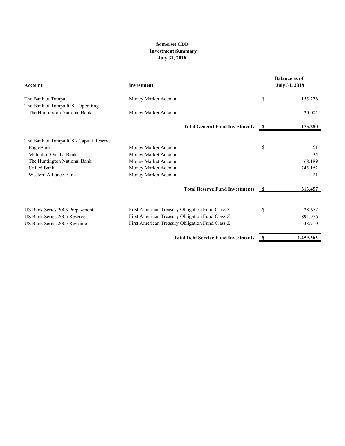## **Somerset CDD Investment Summary July 31, 2018**

| Account                                                           | Investment                                      |    | <b>Balance as of</b><br><b>July 31, 2018</b> |
|-------------------------------------------------------------------|-------------------------------------------------|----|----------------------------------------------|
| The Bank of Tampa                                                 | Money Market Account                            | \$ | 155,276                                      |
| The Bank of Tampa ICS - Operating<br>The Huntington National Bank | Money Market Account                            |    | 20,004                                       |
|                                                                   | <b>Total General Fund Investments</b>           | S  | 175,280                                      |
| The Bank of Tampa ICS - Capital Reserve                           |                                                 |    |                                              |
| EagleBank                                                         | Money Market Account                            | \$ | 51                                           |
| Mutual of Omaha Bank                                              | Money Market Account                            |    | 34                                           |
| The Huntington National Bank                                      | Money Market Account                            |    | 68,189                                       |
| <b>United Bank</b>                                                | Money Market Account                            |    | 245,162                                      |
| Western Alliance Bank                                             | Money Market Account                            |    | 21                                           |
|                                                                   | <b>Total Reserve Fund Investments</b>           | S  | 313,457                                      |
|                                                                   |                                                 |    |                                              |
| US Bank Series 2005 Prepayment                                    | First American Treasury Obligation Fund Class Z | \$ | 28,677                                       |
| US Bank Series 2005 Reserve                                       | First American Treasury Obligation Fund Class Z |    | 891,976                                      |
| US Bank Series 2005 Revenue                                       | First American Treasury Obligation Fund Class Z |    | 538,710                                      |
|                                                                   | <b>Total Debt Service Fund Investments</b>      |    | 1,459,363                                    |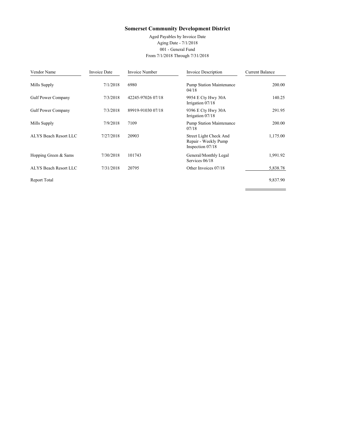Aged Payables by Invoice Date Aging Date - 7/1/2018 001 - General Fund From 7/1/2018 Through 7/31/2018

Ì.

| Vendor Name           | <b>Invoice Date</b> | Invoice Number    | Invoice Description                                                | <b>Current Balance</b> |
|-----------------------|---------------------|-------------------|--------------------------------------------------------------------|------------------------|
| Mills Supply          | 7/1/2018            | 6980              | <b>Pump Station Maintenance</b><br>04/18                           | 200.00                 |
| Gulf Power Company    | 7/3/2018            | 42245-97026 07/18 | 9954 E Cty Hwy 30A<br>Irrigation 07/18                             | 140.25                 |
| Gulf Power Company    | 7/3/2018            | 89919-91030 07/18 | 9396 E Cty Hwy 30A<br>Irrigation 07/18                             | 291.95                 |
| Mills Supply          | 7/9/2018            | 7109              | <b>Pump Station Maintenance</b><br>07/18                           | 200.00                 |
| ALYS Beach Resort LLC | 7/27/2018           | 20903             | Street Light Check And<br>Repair - Weekly Pump<br>Inspection 07/18 | 1,175.00               |
| Hopping Green & Sams  | 7/30/2018           | 101743            | General/Monthly Legal<br>Services 06/18                            | 1,991.92               |
| ALYS Beach Resort LLC | 7/31/2018           | 20795             | Other Invoices 07/18                                               | 5,838.78               |
| Report Total          |                     |                   |                                                                    | 9,837.90               |